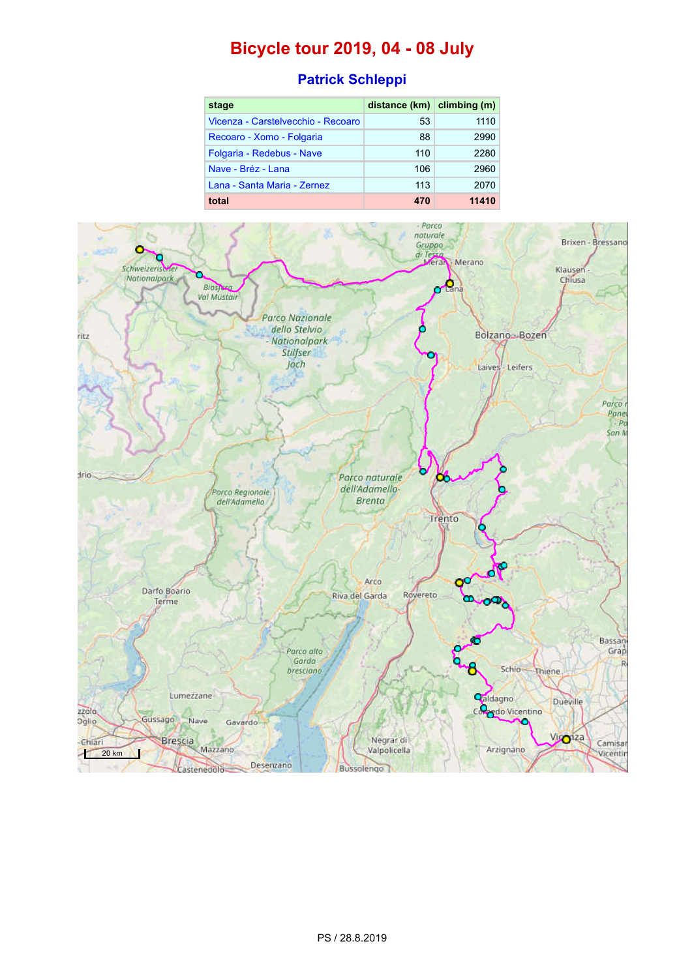# Bicycle tour 2019, 04 - 08 July

| stage                              | distance $(km)$ climbing $(m)$ |       |
|------------------------------------|--------------------------------|-------|
| Vicenza - Carstelvecchio - Recoaro | 53                             | 1110  |
| Recoaro - Xomo - Folgaria          | 88                             | 2990  |
| Folgaria - Redebus - Nave          | 110                            | 2280  |
| Nave - Bréz - Lana                 | 106                            | 2960  |
| Lana - Santa Maria - Zernez        | 113                            | 2070  |
| total                              | 470                            | 11410 |



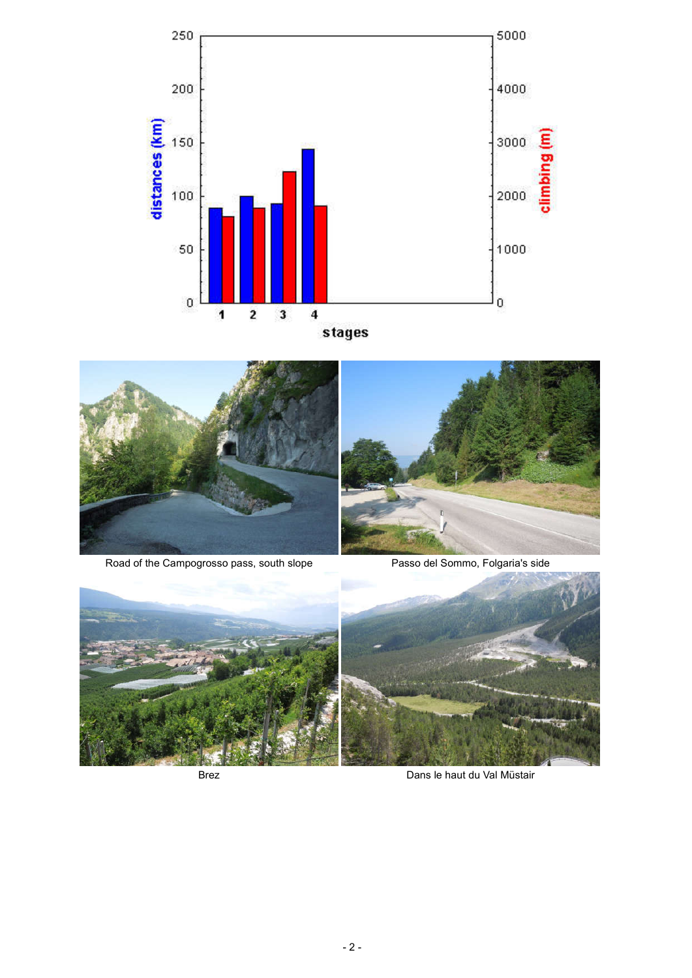

stages



Road of the Campogrosso pass, south slope Passo del Sommo, Folgaria's side



Brez **Dans le haut du Val Müstair**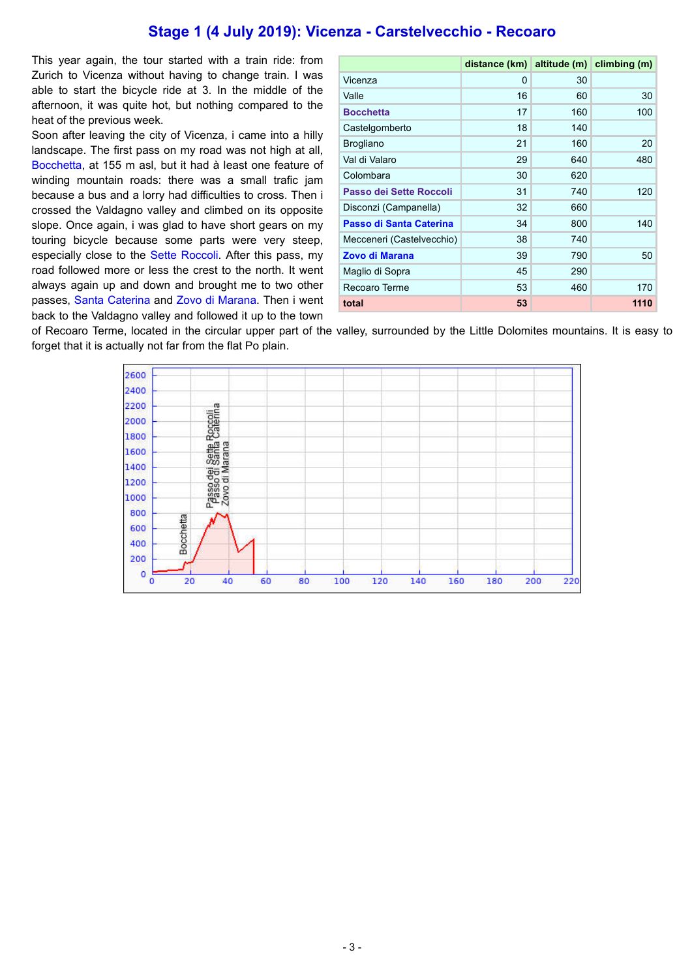## Stage 1 (4 July 2019): Vicenza - Carstelvecchio - Recoaro

This year again, the tour started with a train ride: from Zurich to Vicenza without having to change train. I was able to start the bicycle ride at 3. In the middle of the afternoon, it was quite hot, but nothing compared to the heat of the previous week.

Soon after leaving the city of Vicenza, i came into a hilly landscape. The first pass on my road was not high at all, Bocchetta, at 155 m asl, but it had à least one feature of winding mountain roads: there was a small trafic jam because a bus and a lorry had difficulties to cross. Then i crossed the Valdagno valley and climbed on its opposite slope. Once again, i was glad to have short gears on my touring bicycle because some parts were very steep, especially close to the Sette Roccoli. After this pass, my road followed more or less the crest to the north. It went always again up and down and brought me to two other passes, Santa Caterina and Zovo di Marana. Then i went back to the Valdagno valley and followed it up to the town

|                           | distance $(km)$ altitude $(m)$ climbing $(m)$ |     |      |
|---------------------------|-----------------------------------------------|-----|------|
| Vicenza                   | 0                                             | 30  |      |
| Valle                     | 16                                            | 60  | 30   |
| <b>Bocchetta</b>          | 17                                            | 160 | 100  |
| Castelgomberto            | 18                                            | 140 |      |
| <b>Brogliano</b>          | 21                                            | 160 | 20   |
| Val di Valaro             | 29                                            | 640 | 480  |
| Colombara                 | 30                                            | 620 |      |
| Passo dei Sette Roccoli   | 31                                            | 740 | 120  |
| Disconzi (Campanella)     | 32                                            | 660 |      |
| Passo di Santa Caterina   | 34                                            | 800 | 140  |
| Mecceneri (Castelvecchio) | 38                                            | 740 |      |
| Zovo di Marana            | 39                                            | 790 | 50   |
| Maglio di Sopra           | 45                                            | 290 |      |
| Recoaro Terme             | 53                                            | 460 | 170  |
| total                     | 53                                            |     | 1110 |

of Recoaro Terme, located in the circular upper part of the valley, surrounded by the Little Dolomites mountains. It is easy to forget that it is actually not far from the flat Po plain.

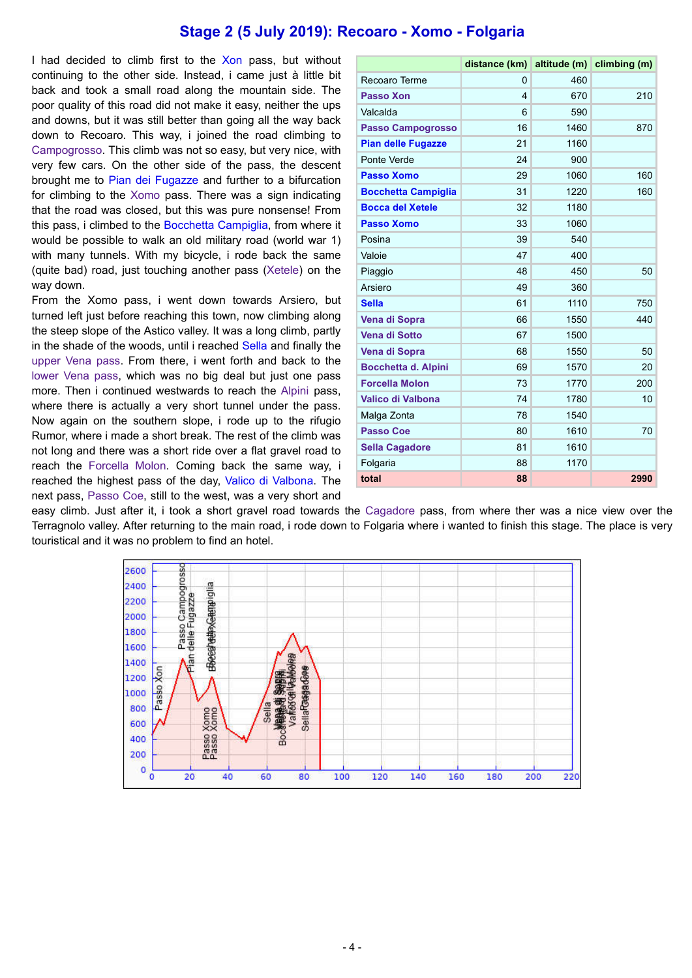## Stage 2 (5 July 2019): Recoaro - Xomo - Folgaria

I had decided to climb first to the Xon pass, but without continuing to the other side. Instead, i came just à little bit back and took a small road along the mountain side. The poor quality of this road did not make it easy, neither the ups and downs, but it was still better than going all the way back down to Recoaro. This way, i joined the road climbing to Campogrosso. This climb was not so easy, but very nice, with very few cars. On the other side of the pass, the descent brought me to Pian dei Fugazze and further to a bifurcation for climbing to the Xomo pass. There was a sign indicating that the road was closed, but this was pure nonsense! From this pass, i climbed to the Bocchetta Campiglia, from where it would be possible to walk an old military road (world war 1) with many tunnels. With my bicycle, i rode back the same (quite bad) road, just touching another pass (Xetele) on the way down.

From the Xomo pass, i went down towards Arsiero, but turned left just before reaching this town, now climbing along the steep slope of the Astico valley. It was a long climb, partly in the shade of the woods, until i reached Sella and finally the upper Vena pass. From there, i went forth and back to the lower Vena pass, which was no big deal but just one pass more. Then i continued westwards to reach the Alpini pass, where there is actually a very short tunnel under the pass. Now again on the southern slope, i rode up to the rifugio Rumor, where i made a short break. The rest of the climb was not long and there was a short ride over a flat gravel road to reach the Forcella Molon. Coming back the same way, i reached the highest pass of the day, Valico di Valbona. The next pass, Passo Coe, still to the west, was a very short and

|                            | distance (km)           | altitude (m) | climbing (m) |
|----------------------------|-------------------------|--------------|--------------|
| Recoaro Terme              | 0                       | 460          |              |
| <b>Passo Xon</b>           | $\overline{\mathbf{4}}$ | 670          | 210          |
| Valcalda                   | 6                       | 590          |              |
| <b>Passo Campogrosso</b>   | 16                      | 1460         | 870          |
| <b>Pian delle Fugazze</b>  | 21                      | 1160         |              |
| Ponte Verde                | 24                      | 900          |              |
| <b>Passo Xomo</b>          | 29                      | 1060         | 160          |
| <b>Bocchetta Campiglia</b> | 31                      | 1220         | 160          |
| <b>Bocca del Xetele</b>    | 32                      | 1180         |              |
| Passo Xomo                 | 33                      | 1060         |              |
| Posina                     | 39                      | 540          |              |
| Valoie                     | 47                      | 400          |              |
| Piaggio                    | 48                      | 450          | 50           |
| Arsiero                    | 49                      | 360          |              |
| <b>Sella</b>               | 61                      | 1110         | 750          |
| Vena di Sopra              | 66                      | 1550         | 440          |
| Vena di Sotto              | 67                      | 1500         |              |
| Vena di Sopra              | 68                      | 1550         | 50           |
| <b>Bocchetta d. Alpini</b> | 69                      | 1570         | 20           |
| <b>Forcella Molon</b>      | 73                      | 1770         | 200          |
| <b>Valico di Valbona</b>   | 74                      | 1780         | 10           |
| Malga Zonta                | 78                      | 1540         |              |
| <b>Passo Coe</b>           | 80                      | 1610         | 70           |
| <b>Sella Cagadore</b>      | 81                      | 1610         |              |
| Folgaria                   | 88                      | 1170         |              |
| total                      | 88                      |              | 2990         |

easy climb. Just after it, i took a short gravel road towards the Cagadore pass, from where ther was a nice view over the Terragnolo valley. After returning to the main road, i rode down to Folgaria where i wanted to finish this stage. The place is very touristical and it was no problem to find an hotel.

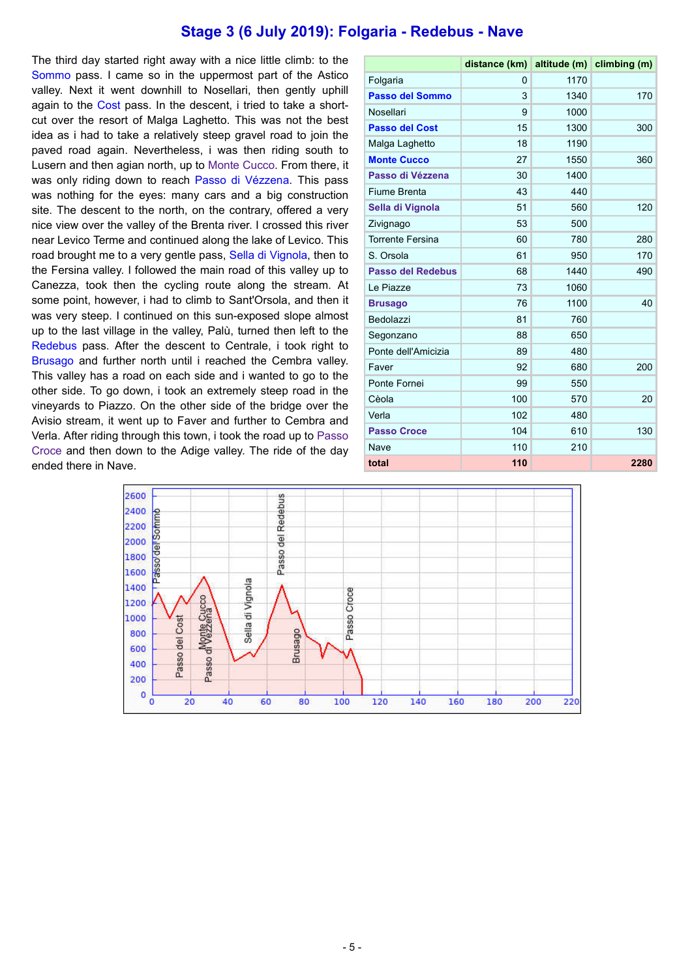#### Stage 3 (6 July 2019): Folgaria - Redebus - Nave

The third day started right away with a nice little climb: to the Sommo pass. I came so in the uppermost part of the Astico valley. Next it went downhill to Nosellari, then gently uphill again to the Cost pass. In the descent, i tried to take a shortcut over the resort of Malga Laghetto. This was not the best idea as i had to take a relatively steep gravel road to join the paved road again. Nevertheless, i was then riding south to Lusern and then agian north, up to Monte Cucco. From there, it was only riding down to reach Passo di Vézzena. This pass was nothing for the eyes: many cars and a big construction site. The descent to the north, on the contrary, offered a very nice view over the valley of the Brenta river. I crossed this river near Levico Terme and continued along the lake of Levico. This road brought me to a very gentle pass, Sella di Vignola, then to the Fersina valley. I followed the main road of this valley up to Canezza, took then the cycling route along the stream. At some point, however, i had to climb to Sant'Orsola, and then it was very steep. I continued on this sun-exposed slope almost up to the last village in the valley, Palù, turned then left to the Redebus pass. After the descent to Centrale, i took right to Brusago and further north until i reached the Cembra valley. This valley has a road on each side and i wanted to go to the other side. To go down, i took an extremely steep road in the vineyards to Piazzo. On the other side of the bridge over the Avisio stream, it went up to Faver and further to Cembra and Verla. After riding through this town, i took the road up to Passo Croce and then down to the Adige valley. The ride of the day ended there in Nave.

|                          | distance (km) |      | altitude $(m)$ climbing $(m)$ |
|--------------------------|---------------|------|-------------------------------|
| Folgaria                 | 0             | 1170 |                               |
| Passo del Sommo          | 3             | 1340 | 170                           |
| Nosellari                | 9             | 1000 |                               |
| <b>Passo del Cost</b>    | 15            | 1300 | 300                           |
| Malga Laghetto           | 18            | 1190 |                               |
| <b>Monte Cucco</b>       | 27            | 1550 | 360                           |
| Passo di Vézzena         | 30            | 1400 |                               |
| <b>Fiume Brenta</b>      | 43            | 440  |                               |
| Sella di Vignola         | 51            | 560  | 120                           |
| Zivignago                | 53            | 500  |                               |
| <b>Torrente Fersina</b>  | 60            | 780  | 280                           |
| S. Orsola                | 61            | 950  | 170                           |
| <b>Passo del Redebus</b> | 68            | 1440 | 490                           |
| Le Piazze                | 73            | 1060 |                               |
| <b>Brusago</b>           | 76            | 1100 | 40                            |
| Bedolazzi                | 81            | 760  |                               |
| Segonzano                | 88            | 650  |                               |
| Ponte dell'Amicizia      | 89            | 480  |                               |
| Faver                    | 92            | 680  | 200                           |
| Ponte Fornei             | 99            | 550  |                               |
| Cèola                    | 100           | 570  | 20                            |
| Verla                    | 102           | 480  |                               |
| <b>Passo Croce</b>       | 104           | 610  | 130                           |
| Nave                     | 110           | 210  |                               |
| total                    | 110           |      | 2280                          |

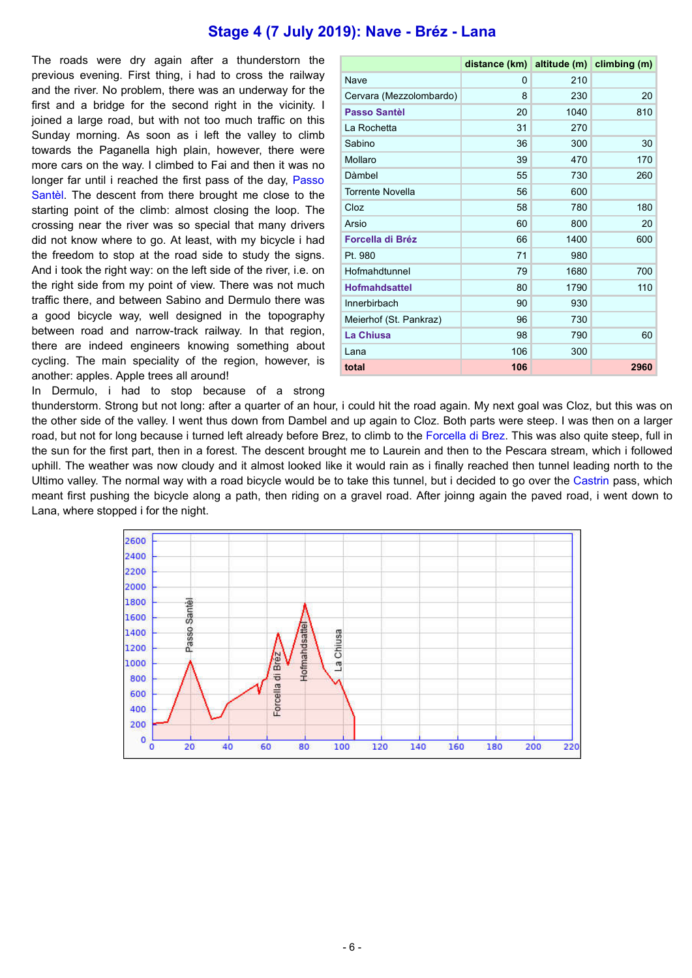## Stage 4 (7 July 2019): Nave - Bréz - Lana

The roads were dry again after a thunderstorn the previous evening. First thing, i had to cross the railway and the river. No problem, there was an underway for the first and a bridge for the second right in the vicinity. I joined a large road, but with not too much traffic on this Sunday morning. As soon as i left the valley to climb towards the Paganella high plain, however, there were more cars on the way. I climbed to Fai and then it was no longer far until i reached the first pass of the day, Passo Santèl. The descent from there brought me close to the starting point of the climb: almost closing the loop. The crossing near the river was so special that many drivers did not know where to go. At least, with my bicycle i had the freedom to stop at the road side to study the signs. And i took the right way: on the left side of the river, i.e. on the right side from my point of view. There was not much traffic there, and between Sabino and Dermulo there was a good bicycle way, well designed in the topography between road and narrow-track railway. In that region, there are indeed engineers knowing something about cycling. The main speciality of the region, however, is another: apples. Apple trees all around!

In Dermulo, i had to stop because of a strong

|                         | distance (km) altitude (m) climbing (m) |      |      |
|-------------------------|-----------------------------------------|------|------|
| <b>Nave</b>             | 0                                       | 210  |      |
| Cervara (Mezzolombardo) | 8                                       | 230  | 20   |
| <b>Passo Santèl</b>     | 20                                      | 1040 | 810  |
| La Rochetta             | 31                                      | 270  |      |
| Sabino                  | 36                                      | 300  | 30   |
| Mollaro                 | 39                                      | 470  | 170  |
| Dàmbel                  | 55                                      | 730  | 260  |
| <b>Torrente Novella</b> | 56                                      | 600  |      |
| Cloz                    | 58                                      | 780  | 180  |
| Arsio                   | 60                                      | 800  | 20   |
| Forcella di Bréz        | 66                                      | 1400 | 600  |
| Pt. 980                 | 71                                      | 980  |      |
| Hofmahdtunnel           | 79                                      | 1680 | 700  |
| <b>Hofmahdsattel</b>    | 80                                      | 1790 | 110  |
| Innerbirbach            | 90                                      | 930  |      |
| Meierhof (St. Pankraz)  | 96                                      | 730  |      |
| <b>La Chiusa</b>        | 98                                      | 790  | 60   |
| Lana                    | 106                                     | 300  |      |
| total                   | 106                                     |      | 2960 |

thunderstorm. Strong but not long: after a quarter of an hour, i could hit the road again. My next goal was Cloz, but this was on the other side of the valley. I went thus down from Dambel and up again to Cloz. Both parts were steep. I was then on a larger road, but not for long because i turned left already before Brez, to climb to the Forcella di Brez. This was also quite steep, full in the sun for the first part, then in a forest. The descent brought me to Laurein and then to the Pescara stream, which i followed uphill. The weather was now cloudy and it almost looked like it would rain as i finally reached then tunnel leading north to the Ultimo valley. The normal way with a road bicycle would be to take this tunnel, but i decided to go over the Castrin pass, which meant first pushing the bicycle along a path, then riding on a gravel road. After joinng again the paved road, i went down to Lana, where stopped i for the night.